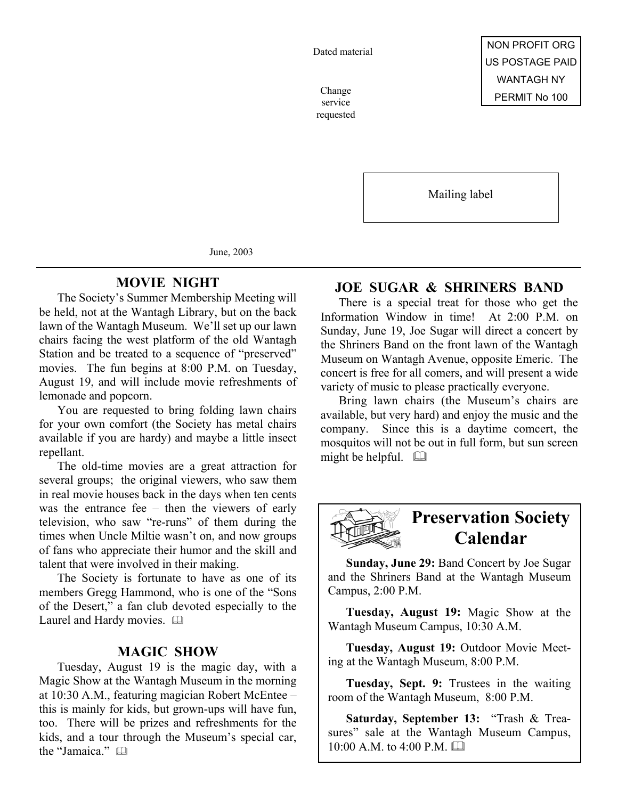Dated material

service requested

Mailing label

June, 2003

### **MOVIE NIGHT**

The Society's Summer Membership Meeting will be held, not at the Wantagh Library, but on the back lawn of the Wantagh Museum. We'll set up our lawn chairs facing the west platform of the old Wantagh Station and be treated to a sequence of "preserved" movies. The fun begins at 8:00 P.M. on Tuesday, August 19, and will include movie refreshments of lemonade and popcorn.

You are requested to bring folding lawn chairs for your own comfort (the Society has metal chairs available if you are hardy) and maybe a little insect repellant.

The old-time movies are a great attraction for several groups; the original viewers, who saw them in real movie houses back in the days when ten cents was the entrance fee – then the viewers of early television, who saw "re-runs" of them during the times when Uncle Miltie wasn't on, and now groups of fans who appreciate their humor and the skill and talent that were involved in their making.

The Society is fortunate to have as one of its members Gregg Hammond, who is one of the "Sons of the Desert," a fan club devoted especially to the Laurel and Hardy movies.  $\square$ 

#### **MAGIC SHOW**

Tuesday, August 19 is the magic day, with a Magic Show at the Wantagh Museum in the morning at 10:30 A.M., featuring magician Robert McEntee – this is mainly for kids, but grown-ups will have fun, too. There will be prizes and refreshments for the kids, and a tour through the Museum's special car, the "Jamaica."

## **JOE SUGAR & SHRINERS BAND**

There is a special treat for those who get the Information Window in time! At 2:00 P.M. on Sunday, June 19, Joe Sugar will direct a concert by the Shriners Band on the front lawn of the Wantagh Museum on Wantagh Avenue, opposite Emeric. The concert is free for all comers, and will present a wide variety of music to please practically everyone.

Bring lawn chairs (the Museum's chairs are available, but very hard) and enjoy the music and the company. Since this is a daytime comcert, the mosquitos will not be out in full form, but sun screen might be helpful.  $\Box$ 



# **Preservation Society Calendar**

**Sunday, June 29:** Band Concert by Joe Sugar and the Shriners Band at the Wantagh Museum Campus, 2:00 P.M.

**Tuesday, August 19:** Magic Show at the Wantagh Museum Campus, 10:30 A.M.

**Tuesday, August 19:** Outdoor Movie Meeting at the Wantagh Museum, 8:00 P.M.

**Tuesday, Sept. 9:** Trustees in the waiting room of the Wantagh Museum, 8:00 P.M.

**Saturday, September 13:** "Trash & Treasures" sale at the Wantagh Museum Campus,  $10:00$  A M to  $4:00$  P M  $\Box$